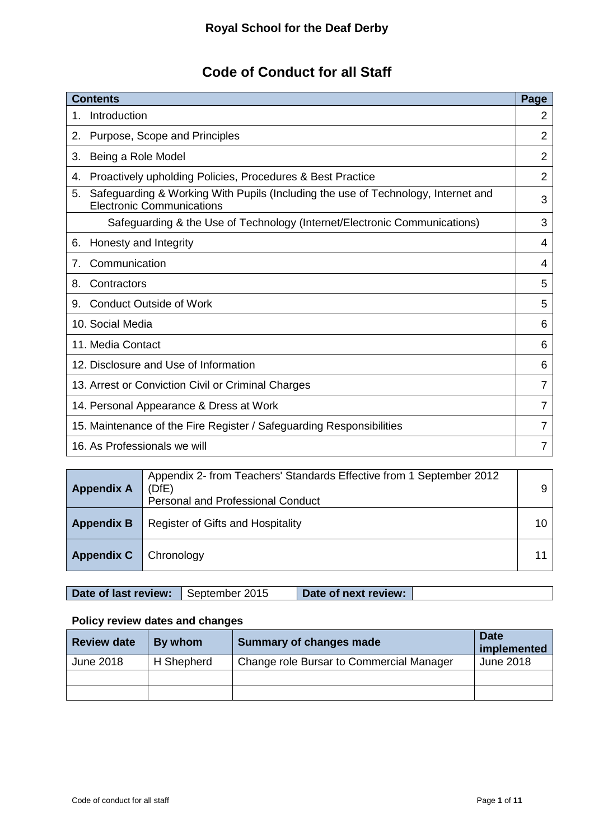# **Code of Conduct for all Staff**

| <b>Contents</b>                                                                                                             | Page |
|-----------------------------------------------------------------------------------------------------------------------------|------|
| Introduction                                                                                                                | 2    |
| Purpose, Scope and Principles<br>2.                                                                                         | 2    |
| Being a Role Model<br>З.                                                                                                    | 2    |
| Proactively upholding Policies, Procedures & Best Practice<br>4.                                                            | 2    |
| Safeguarding & Working With Pupils (Including the use of Technology, Internet and<br>5.<br><b>Electronic Communications</b> | 3    |
| Safeguarding & the Use of Technology (Internet/Electronic Communications)                                                   | 3    |
| Honesty and Integrity<br>6.                                                                                                 | 4    |
| Communication<br>7 <sub>1</sub>                                                                                             | 4    |
| Contractors<br>8.                                                                                                           | 5    |
| <b>Conduct Outside of Work</b><br>9.                                                                                        | 5    |
| 10. Social Media                                                                                                            | 6    |
| 11. Media Contact                                                                                                           | 6    |
| 12. Disclosure and Use of Information                                                                                       |      |
| 13. Arrest or Conviction Civil or Criminal Charges                                                                          |      |
| 14. Personal Appearance & Dress at Work                                                                                     |      |
| 15. Maintenance of the Fire Register / Safeguarding Responsibilities                                                        | 7    |
| 16. As Professionals we will                                                                                                |      |

| <b>Appendix A</b> | Appendix 2- from Teachers' Standards Effective from 1 September 2012<br>(DfE)<br><b>Personal and Professional Conduct</b> | 9  |
|-------------------|---------------------------------------------------------------------------------------------------------------------------|----|
| <b>Appendix B</b> | Register of Gifts and Hospitality                                                                                         | 10 |
| <b>Appendix C</b> | Chronology                                                                                                                |    |

### Date of last review: September 2015 **Date of next review:**

#### **Policy review dates and changes**

| <b>Review date</b> | By whom    | Summary of changes made                  | <b>Date</b><br>implemented |
|--------------------|------------|------------------------------------------|----------------------------|
| June 2018          | H Shepherd | Change role Bursar to Commercial Manager | June 2018                  |
|                    |            |                                          |                            |
|                    |            |                                          |                            |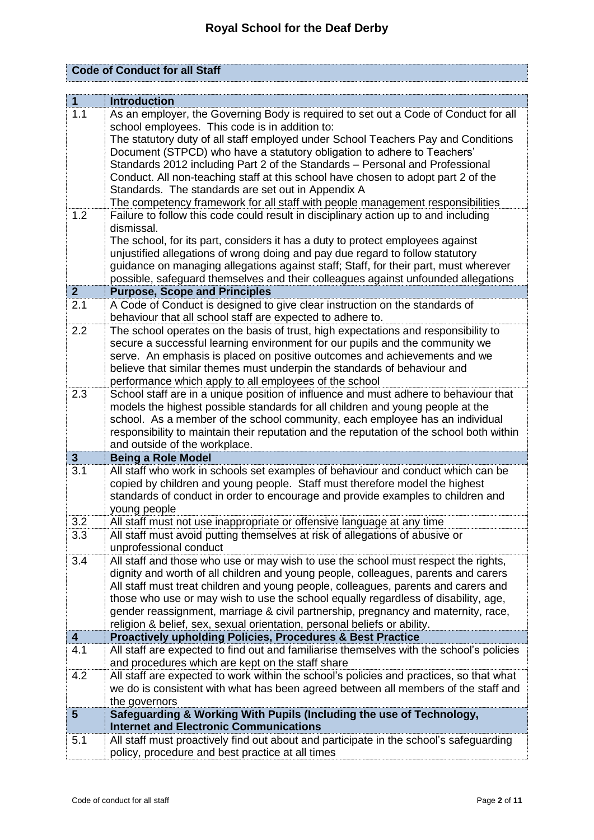|  |  | <b>Code of Conduct for all Staff</b> |
|--|--|--------------------------------------|
|--|--|--------------------------------------|

| $\mathbf{1}$            | <b>Introduction</b>                                                                                                                                             |
|-------------------------|-----------------------------------------------------------------------------------------------------------------------------------------------------------------|
| 1.1                     | As an employer, the Governing Body is required to set out a Code of Conduct for all                                                                             |
|                         | school employees. This code is in addition to:                                                                                                                  |
|                         | The statutory duty of all staff employed under School Teachers Pay and Conditions                                                                               |
|                         | Document (STPCD) who have a statutory obligation to adhere to Teachers'                                                                                         |
|                         | Standards 2012 including Part 2 of the Standards - Personal and Professional                                                                                    |
|                         | Conduct. All non-teaching staff at this school have chosen to adopt part 2 of the                                                                               |
|                         | Standards. The standards are set out in Appendix A                                                                                                              |
|                         | The competency framework for all staff with people management responsibilities                                                                                  |
| 1.2                     | Failure to follow this code could result in disciplinary action up to and including                                                                             |
|                         | dismissal.                                                                                                                                                      |
|                         | The school, for its part, considers it has a duty to protect employees against                                                                                  |
|                         | unjustified allegations of wrong doing and pay due regard to follow statutory                                                                                   |
|                         | guidance on managing allegations against staff; Staff, for their part, must wherever                                                                            |
|                         | possible, safeguard themselves and their colleagues against unfounded allegations                                                                               |
| 2 <sub>2</sub><br>2.1   | <b>Purpose, Scope and Principles</b>                                                                                                                            |
|                         | A Code of Conduct is designed to give clear instruction on the standards of<br>behaviour that all school staff are expected to adhere to.                       |
| 2.2                     | The school operates on the basis of trust, high expectations and responsibility to                                                                              |
|                         | secure a successful learning environment for our pupils and the community we                                                                                    |
|                         | serve. An emphasis is placed on positive outcomes and achievements and we                                                                                       |
|                         | believe that similar themes must underpin the standards of behaviour and                                                                                        |
|                         | performance which apply to all employees of the school                                                                                                          |
| 2.3                     | School staff are in a unique position of influence and must adhere to behaviour that                                                                            |
|                         | models the highest possible standards for all children and young people at the                                                                                  |
|                         | school. As a member of the school community, each employee has an individual                                                                                    |
|                         | responsibility to maintain their reputation and the reputation of the school both within                                                                        |
|                         | and outside of the workplace.                                                                                                                                   |
| $\mathbf{3}$            | <b>Being a Role Model</b>                                                                                                                                       |
| $\overline{3.1}$        | All staff who work in schools set examples of behaviour and conduct which can be<br>copied by children and young people. Staff must therefore model the highest |
|                         | standards of conduct in order to encourage and provide examples to children and                                                                                 |
|                         | young people                                                                                                                                                    |
| 3.2                     | All staff must not use inappropriate or offensive language at any time                                                                                          |
| 3.3                     | All staff must avoid putting themselves at risk of allegations of abusive or                                                                                    |
|                         | unprofessional conduct                                                                                                                                          |
| 3.4                     | All staff and those who use or may wish to use the school must respect the rights,                                                                              |
|                         | dignity and worth of all children and young people, colleagues, parents and carers                                                                              |
|                         | All staff must treat children and young people, colleagues, parents and carers and                                                                              |
|                         | those who use or may wish to use the school equally regardless of disability, age,                                                                              |
|                         | gender reassignment, marriage & civil partnership, pregnancy and maternity, race,                                                                               |
|                         | religion & belief, sex, sexual orientation, personal beliefs or ability.                                                                                        |
| $\overline{\mathbf{4}}$ | Proactively upholding Policies, Procedures & Best Practice                                                                                                      |
| 4.1                     | All staff are expected to find out and familiarise themselves with the school's policies<br>and procedures which are kept on the staff share                    |
| 4.2                     | All staff are expected to work within the school's policies and practices, so that what                                                                         |
|                         | we do is consistent with what has been agreed between all members of the staff and                                                                              |
|                         | the governors                                                                                                                                                   |
| $5\phantom{.0}$         | Safeguarding & Working With Pupils (Including the use of Technology,                                                                                            |
|                         | <b>Internet and Electronic Communications</b>                                                                                                                   |
| 5.1                     | All staff must proactively find out about and participate in the school's safeguarding                                                                          |
|                         | policy, procedure and best practice at all times                                                                                                                |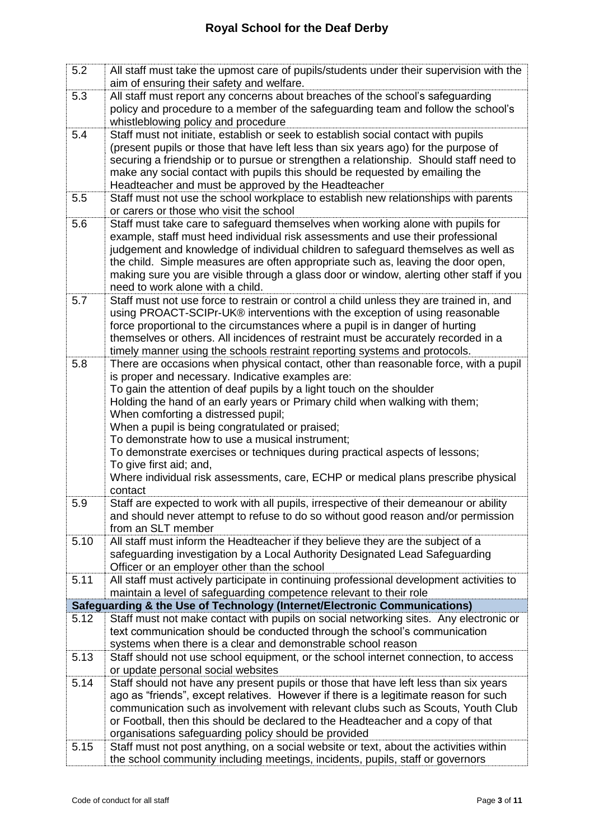| 5.2  | All staff must take the upmost care of pupils/students under their supervision with the<br>aim of ensuring their safety and welfare.                                |
|------|---------------------------------------------------------------------------------------------------------------------------------------------------------------------|
| 5.3  | All staff must report any concerns about breaches of the school's safeguarding                                                                                      |
|      | policy and procedure to a member of the safeguarding team and follow the school's                                                                                   |
|      | whistleblowing policy and procedure                                                                                                                                 |
| 5.4  | Staff must not initiate, establish or seek to establish social contact with pupils                                                                                  |
|      | (present pupils or those that have left less than six years ago) for the purpose of                                                                                 |
|      | securing a friendship or to pursue or strengthen a relationship. Should staff need to                                                                               |
|      | make any social contact with pupils this should be requested by emailing the                                                                                        |
|      | Headteacher and must be approved by the Headteacher                                                                                                                 |
| 5.5  | Staff must not use the school workplace to establish new relationships with parents<br>or carers or those who visit the school                                      |
| 5.6  | Staff must take care to safeguard themselves when working alone with pupils for                                                                                     |
|      | example, staff must heed individual risk assessments and use their professional                                                                                     |
|      | judgement and knowledge of individual children to safeguard themselves as well as                                                                                   |
|      | the child. Simple measures are often appropriate such as, leaving the door open,                                                                                    |
|      | making sure you are visible through a glass door or window, alerting other staff if you                                                                             |
|      | need to work alone with a child.                                                                                                                                    |
| 5.7  | Staff must not use force to restrain or control a child unless they are trained in, and                                                                             |
|      | using PROACT-SCIPr-UK® interventions with the exception of using reasonable                                                                                         |
|      | force proportional to the circumstances where a pupil is in danger of hurting                                                                                       |
|      | themselves or others. All incidences of restraint must be accurately recorded in a                                                                                  |
|      | timely manner using the schools restraint reporting systems and protocols.                                                                                          |
| 5.8  | There are occasions when physical contact, other than reasonable force, with a pupil                                                                                |
|      | is proper and necessary. Indicative examples are:                                                                                                                   |
|      | To gain the attention of deaf pupils by a light touch on the shoulder<br>Holding the hand of an early years or Primary child when walking with them;                |
|      | When comforting a distressed pupil;                                                                                                                                 |
|      | When a pupil is being congratulated or praised;                                                                                                                     |
|      | To demonstrate how to use a musical instrument;                                                                                                                     |
|      | To demonstrate exercises or techniques during practical aspects of lessons;                                                                                         |
|      | To give first aid; and,                                                                                                                                             |
|      | Where individual risk assessments, care, ECHP or medical plans prescribe physical                                                                                   |
|      | contact                                                                                                                                                             |
| 5.9  | Staff are expected to work with all pupils, irrespective of their demeanour or ability                                                                              |
|      | and should never attempt to refuse to do so without good reason and/or permission                                                                                   |
|      | from an SLT member                                                                                                                                                  |
| 5.10 | All staff must inform the Headteacher if they believe they are the subject of a                                                                                     |
|      | safeguarding investigation by a Local Authority Designated Lead Safeguarding<br>Officer or an employer other than the school                                        |
| 5.11 | All staff must actively participate in continuing professional development activities to                                                                            |
|      | maintain a level of safeguarding competence relevant to their role                                                                                                  |
|      | Safeguarding & the Use of Technology (Internet/Electronic Communications)                                                                                           |
| 5.12 | Staff must not make contact with pupils on social networking sites. Any electronic or                                                                               |
|      | text communication should be conducted through the school's communication                                                                                           |
|      | systems when there is a clear and demonstrable school reason                                                                                                        |
| 5.13 | Staff should not use school equipment, or the school internet connection, to access                                                                                 |
|      | or update personal social websites                                                                                                                                  |
| 5.14 | Staff should not have any present pupils or those that have left less than six years                                                                                |
|      | ago as "friends", except relatives. However if there is a legitimate reason for such                                                                                |
|      | communication such as involvement with relevant clubs such as Scouts, Youth Club<br>or Football, then this should be declared to the Headteacher and a copy of that |
|      | organisations safeguarding policy should be provided                                                                                                                |
| 5.15 | Staff must not post anything, on a social website or text, about the activities within                                                                              |
|      | the school community including meetings, incidents, pupils, staff or governors                                                                                      |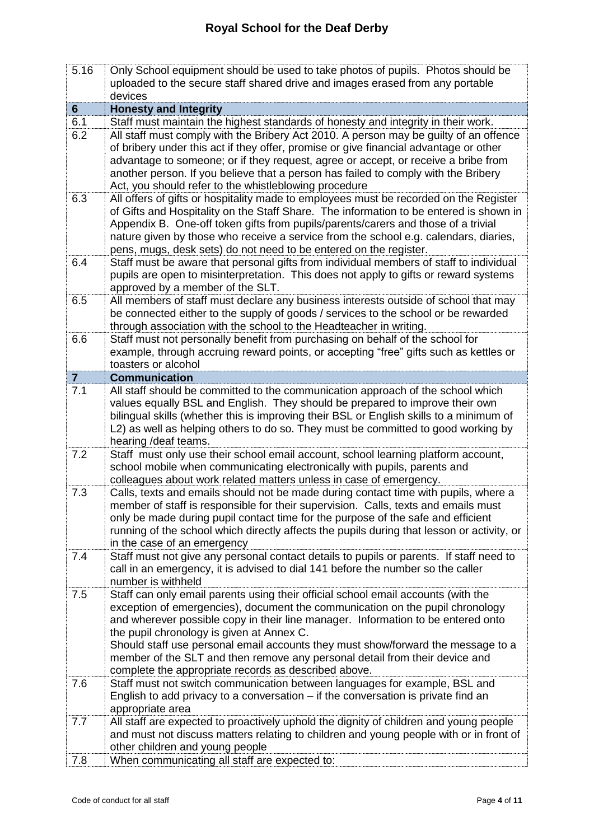| 5.16           | Only School equipment should be used to take photos of pupils. Photos should be                                                                                           |
|----------------|---------------------------------------------------------------------------------------------------------------------------------------------------------------------------|
|                | uploaded to the secure staff shared drive and images erased from any portable                                                                                             |
|                | devices                                                                                                                                                                   |
| $6\phantom{1}$ | <b>Honesty and Integrity</b>                                                                                                                                              |
| 6.1            | Staff must maintain the highest standards of honesty and integrity in their work.                                                                                         |
| 6.2            | All staff must comply with the Bribery Act 2010. A person may be guilty of an offence                                                                                     |
|                | of bribery under this act if they offer, promise or give financial advantage or other                                                                                     |
|                | advantage to someone; or if they request, agree or accept, or receive a bribe from                                                                                        |
|                | another person. If you believe that a person has failed to comply with the Bribery                                                                                        |
|                | Act, you should refer to the whistleblowing procedure                                                                                                                     |
| 6.3            | All offers of gifts or hospitality made to employees must be recorded on the Register                                                                                     |
|                | of Gifts and Hospitality on the Staff Share. The information to be entered is shown in                                                                                    |
|                | Appendix B. One-off token gifts from pupils/parents/carers and those of a trivial                                                                                         |
|                | nature given by those who receive a service from the school e.g. calendars, diaries,                                                                                      |
|                | pens, mugs, desk sets) do not need to be entered on the register.                                                                                                         |
| 6.4            | Staff must be aware that personal gifts from individual members of staff to individual                                                                                    |
|                |                                                                                                                                                                           |
|                | pupils are open to misinterpretation. This does not apply to gifts or reward systems                                                                                      |
|                | approved by a member of the SLT.                                                                                                                                          |
| 6.5            | All members of staff must declare any business interests outside of school that may<br>be connected either to the supply of goods / services to the school or be rewarded |
|                |                                                                                                                                                                           |
|                | through association with the school to the Headteacher in writing.                                                                                                        |
| 6.6            | Staff must not personally benefit from purchasing on behalf of the school for                                                                                             |
|                | example, through accruing reward points, or accepting "free" gifts such as kettles or                                                                                     |
|                | toasters or alcohol                                                                                                                                                       |
| $\overline{7}$ | <b>Communication</b>                                                                                                                                                      |
| 7.1            | All staff should be committed to the communication approach of the school which                                                                                           |
|                | values equally BSL and English. They should be prepared to improve their own                                                                                              |
|                | bilingual skills (whether this is improving their BSL or English skills to a minimum of                                                                                   |
|                | L2) as well as helping others to do so. They must be committed to good working by                                                                                         |
|                | hearing / deaf teams.                                                                                                                                                     |
| 7.2            | Staff must only use their school email account, school learning platform account,                                                                                         |
|                | school mobile when communicating electronically with pupils, parents and                                                                                                  |
|                | colleagues about work related matters unless in case of emergency.                                                                                                        |
| 7.3            | Calls, texts and emails should not be made during contact time with pupils, where a                                                                                       |
|                | member of staff is responsible for their supervision. Calls, texts and emails must                                                                                        |
|                | only be made during pupil contact time for the purpose of the safe and efficient                                                                                          |
|                | running of the school which directly affects the pupils during that lesson or activity, or                                                                                |
|                | in the case of an emergency                                                                                                                                               |
| 7.4            | Staff must not give any personal contact details to pupils or parents. If staff need to                                                                                   |
|                | call in an emergency, it is advised to dial 141 before the number so the caller<br>number is withheld                                                                     |
| 7.5            | Staff can only email parents using their official school email accounts (with the                                                                                         |
|                | exception of emergencies), document the communication on the pupil chronology                                                                                             |
|                | and wherever possible copy in their line manager. Information to be entered onto                                                                                          |
|                | the pupil chronology is given at Annex C.                                                                                                                                 |
|                | Should staff use personal email accounts they must show/forward the message to a                                                                                          |
|                | member of the SLT and then remove any personal detail from their device and                                                                                               |
|                | complete the appropriate records as described above.                                                                                                                      |
| 7.6            | Staff must not switch communication between languages for example, BSL and                                                                                                |
|                | English to add privacy to a conversation $-$ if the conversation is private find an                                                                                       |
|                | appropriate area                                                                                                                                                          |
| 7.7            | All staff are expected to proactively uphold the dignity of children and young people                                                                                     |
|                | and must not discuss matters relating to children and young people with or in front of                                                                                    |
|                | other children and young people                                                                                                                                           |
|                |                                                                                                                                                                           |
| 7.8            | When communicating all staff are expected to:                                                                                                                             |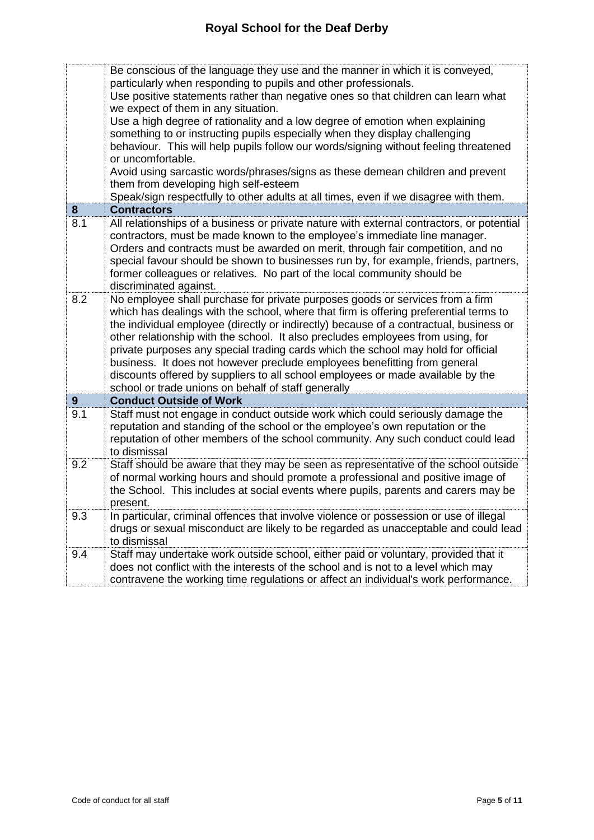|     | Be conscious of the language they use and the manner in which it is conveyed,<br>particularly when responding to pupils and other professionals.                                                                                                                                                                                                                                                                                                                                                                                                                                                                                                                |
|-----|-----------------------------------------------------------------------------------------------------------------------------------------------------------------------------------------------------------------------------------------------------------------------------------------------------------------------------------------------------------------------------------------------------------------------------------------------------------------------------------------------------------------------------------------------------------------------------------------------------------------------------------------------------------------|
|     | Use positive statements rather than negative ones so that children can learn what                                                                                                                                                                                                                                                                                                                                                                                                                                                                                                                                                                               |
|     | we expect of them in any situation.                                                                                                                                                                                                                                                                                                                                                                                                                                                                                                                                                                                                                             |
|     | Use a high degree of rationality and a low degree of emotion when explaining                                                                                                                                                                                                                                                                                                                                                                                                                                                                                                                                                                                    |
|     | something to or instructing pupils especially when they display challenging                                                                                                                                                                                                                                                                                                                                                                                                                                                                                                                                                                                     |
|     | behaviour. This will help pupils follow our words/signing without feeling threatened<br>or uncomfortable.                                                                                                                                                                                                                                                                                                                                                                                                                                                                                                                                                       |
|     | Avoid using sarcastic words/phrases/signs as these demean children and prevent                                                                                                                                                                                                                                                                                                                                                                                                                                                                                                                                                                                  |
|     | them from developing high self-esteem                                                                                                                                                                                                                                                                                                                                                                                                                                                                                                                                                                                                                           |
|     | Speak/sign respectfully to other adults at all times, even if we disagree with them.                                                                                                                                                                                                                                                                                                                                                                                                                                                                                                                                                                            |
| 8   | <b>Contractors</b>                                                                                                                                                                                                                                                                                                                                                                                                                                                                                                                                                                                                                                              |
| 8.1 | All relationships of a business or private nature with external contractors, or potential<br>contractors, must be made known to the employee's immediate line manager.<br>Orders and contracts must be awarded on merit, through fair competition, and no<br>special favour should be shown to businesses run by, for example, friends, partners,<br>former colleagues or relatives. No part of the local community should be<br>discriminated against.                                                                                                                                                                                                         |
| 8.2 | No employee shall purchase for private purposes goods or services from a firm<br>which has dealings with the school, where that firm is offering preferential terms to<br>the individual employee (directly or indirectly) because of a contractual, business or<br>other relationship with the school. It also precludes employees from using, for<br>private purposes any special trading cards which the school may hold for official<br>business. It does not however preclude employees benefitting from general<br>discounts offered by suppliers to all school employees or made available by the<br>school or trade unions on behalf of staff generally |
| 9   | <b>Conduct Outside of Work</b>                                                                                                                                                                                                                                                                                                                                                                                                                                                                                                                                                                                                                                  |
| 9.1 | Staff must not engage in conduct outside work which could seriously damage the<br>reputation and standing of the school or the employee's own reputation or the<br>reputation of other members of the school community. Any such conduct could lead<br>to dismissal                                                                                                                                                                                                                                                                                                                                                                                             |
| 9.2 | Staff should be aware that they may be seen as representative of the school outside<br>of normal working hours and should promote a professional and positive image of<br>the School. This includes at social events where pupils, parents and carers may be<br>present.                                                                                                                                                                                                                                                                                                                                                                                        |
| 9.3 | In particular, criminal offences that involve violence or possession or use of illegal<br>drugs or sexual misconduct are likely to be regarded as unacceptable and could lead<br>to dismissal                                                                                                                                                                                                                                                                                                                                                                                                                                                                   |
| 9.4 | Staff may undertake work outside school, either paid or voluntary, provided that it<br>does not conflict with the interests of the school and is not to a level which may<br>contravene the working time regulations or affect an individual's work performance.                                                                                                                                                                                                                                                                                                                                                                                                |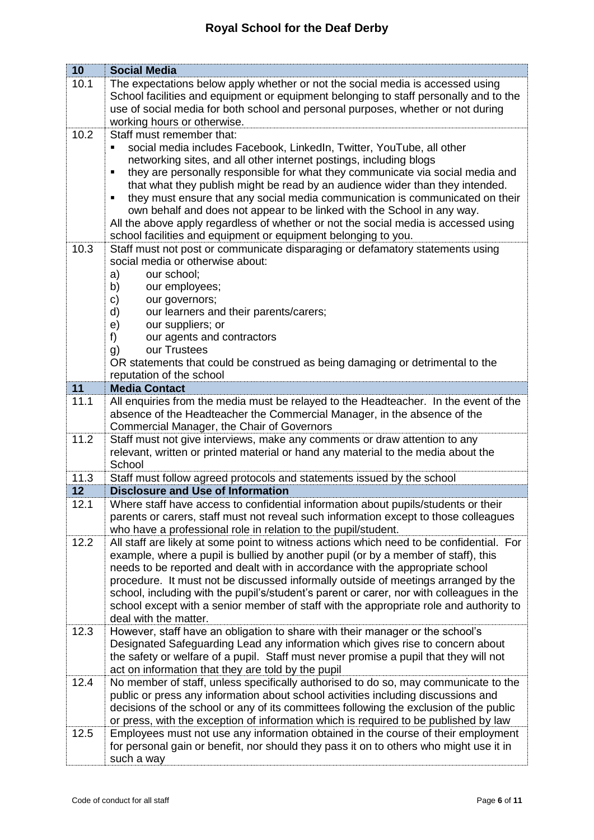| 10         | <b>Social Media</b>                                                                                                                                                     |
|------------|-------------------------------------------------------------------------------------------------------------------------------------------------------------------------|
| 10.1       | The expectations below apply whether or not the social media is accessed using                                                                                          |
|            | School facilities and equipment or equipment belonging to staff personally and to the                                                                                   |
|            | use of social media for both school and personal purposes, whether or not during                                                                                        |
|            | working hours or otherwise.                                                                                                                                             |
| 10.2       | Staff must remember that:                                                                                                                                               |
|            | social media includes Facebook, LinkedIn, Twitter, YouTube, all other<br>٠                                                                                              |
|            | networking sites, and all other internet postings, including blogs                                                                                                      |
|            | they are personally responsible for what they communicate via social media and<br>٠                                                                                     |
|            | that what they publish might be read by an audience wider than they intended.<br>they must ensure that any social media communication is communicated on their<br>٠     |
|            | own behalf and does not appear to be linked with the School in any way.                                                                                                 |
|            | All the above apply regardless of whether or not the social media is accessed using                                                                                     |
|            | school facilities and equipment or equipment belonging to you.                                                                                                          |
| 10.3       | Staff must not post or communicate disparaging or defamatory statements using                                                                                           |
|            | social media or otherwise about:                                                                                                                                        |
|            | our school;<br>a)                                                                                                                                                       |
|            | b)<br>our employees;                                                                                                                                                    |
|            | c)<br>our governors;                                                                                                                                                    |
|            | our learners and their parents/carers;<br>d)                                                                                                                            |
|            | our suppliers; or<br>e)                                                                                                                                                 |
|            | f)<br>our agents and contractors                                                                                                                                        |
|            | our Trustees<br>g)<br>OR statements that could be construed as being damaging or detrimental to the                                                                     |
|            | reputation of the school                                                                                                                                                |
| 11         | <b>Media Contact</b>                                                                                                                                                    |
| 11.1       | All enquiries from the media must be relayed to the Headteacher. In the event of the                                                                                    |
|            | absence of the Headteacher the Commercial Manager, in the absence of the                                                                                                |
|            | Commercial Manager, the Chair of Governors                                                                                                                              |
| 11.2       | Staff must not give interviews, make any comments or draw attention to any                                                                                              |
|            | relevant, written or printed material or hand any material to the media about the                                                                                       |
|            | School                                                                                                                                                                  |
| 11.3<br>12 | Staff must follow agreed protocols and statements issued by the school<br><b>Disclosure and Use of Information</b>                                                      |
| 12.1       | Where staff have access to confidential information about pupils/students or their                                                                                      |
|            | parents or carers, staff must not reveal such information except to those colleagues                                                                                    |
|            | who have a professional role in relation to the pupil/student.                                                                                                          |
| 12.2       | All staff are likely at some point to witness actions which need to be confidential. For                                                                                |
|            | example, where a pupil is bullied by another pupil (or by a member of staff), this                                                                                      |
|            | needs to be reported and dealt with in accordance with the appropriate school                                                                                           |
|            | procedure. It must not be discussed informally outside of meetings arranged by the                                                                                      |
|            | school, including with the pupil's/student's parent or carer, nor with colleagues in the                                                                                |
|            | school except with a senior member of staff with the appropriate role and authority to                                                                                  |
|            | deal with the matter.                                                                                                                                                   |
| 12.3       | However, staff have an obligation to share with their manager or the school's                                                                                           |
|            | Designated Safeguarding Lead any information which gives rise to concern about<br>the safety or welfare of a pupil. Staff must never promise a pupil that they will not |
|            | act on information that they are told by the pupil                                                                                                                      |
| 12.4       | No member of staff, unless specifically authorised to do so, may communicate to the                                                                                     |
|            | public or press any information about school activities including discussions and                                                                                       |
|            | decisions of the school or any of its committees following the exclusion of the public                                                                                  |
|            | or press, with the exception of information which is required to be published by law                                                                                    |
| 12.5       | Employees must not use any information obtained in the course of their employment                                                                                       |
|            | for personal gain or benefit, nor should they pass it on to others who might use it in                                                                                  |
|            | such a way                                                                                                                                                              |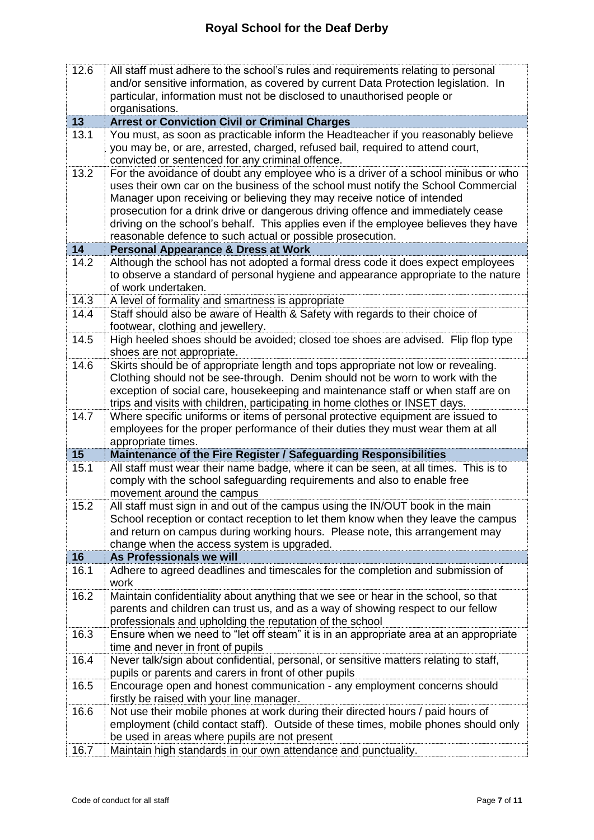| 12.6 | All staff must adhere to the school's rules and requirements relating to personal<br>and/or sensitive information, as covered by current Data Protection legislation. In<br>particular, information must not be disclosed to unauthorised people or<br>organisations.                                                                                                                                                                                                                         |
|------|-----------------------------------------------------------------------------------------------------------------------------------------------------------------------------------------------------------------------------------------------------------------------------------------------------------------------------------------------------------------------------------------------------------------------------------------------------------------------------------------------|
| 13   | <b>Arrest or Conviction Civil or Criminal Charges</b>                                                                                                                                                                                                                                                                                                                                                                                                                                         |
| 13.1 | You must, as soon as practicable inform the Headteacher if you reasonably believe<br>you may be, or are, arrested, charged, refused bail, required to attend court,<br>convicted or sentenced for any criminal offence.                                                                                                                                                                                                                                                                       |
| 13.2 | For the avoidance of doubt any employee who is a driver of a school minibus or who<br>uses their own car on the business of the school must notify the School Commercial<br>Manager upon receiving or believing they may receive notice of intended<br>prosecution for a drink drive or dangerous driving offence and immediately cease<br>driving on the school's behalf. This applies even if the employee believes they have<br>reasonable defence to such actual or possible prosecution. |
| 14   | <b>Personal Appearance &amp; Dress at Work</b>                                                                                                                                                                                                                                                                                                                                                                                                                                                |
| 14.2 | Although the school has not adopted a formal dress code it does expect employees<br>to observe a standard of personal hygiene and appearance appropriate to the nature<br>of work undertaken.                                                                                                                                                                                                                                                                                                 |
| 14.3 | A level of formality and smartness is appropriate                                                                                                                                                                                                                                                                                                                                                                                                                                             |
| 14.4 | Staff should also be aware of Health & Safety with regards to their choice of<br>footwear, clothing and jewellery.                                                                                                                                                                                                                                                                                                                                                                            |
| 14.5 | High heeled shoes should be avoided; closed toe shoes are advised. Flip flop type<br>shoes are not appropriate.                                                                                                                                                                                                                                                                                                                                                                               |
| 14.6 | Skirts should be of appropriate length and tops appropriate not low or revealing.<br>Clothing should not be see-through. Denim should not be worn to work with the<br>exception of social care, housekeeping and maintenance staff or when staff are on<br>trips and visits with children, participating in home clothes or INSET days.                                                                                                                                                       |
| 14.7 | Where specific uniforms or items of personal protective equipment are issued to<br>employees for the proper performance of their duties they must wear them at all<br>appropriate times.                                                                                                                                                                                                                                                                                                      |
| 15   | Maintenance of the Fire Register / Safeguarding Responsibilities                                                                                                                                                                                                                                                                                                                                                                                                                              |
| 15.1 | All staff must wear their name badge, where it can be seen, at all times. This is to<br>comply with the school safeguarding requirements and also to enable free<br>movement around the campus                                                                                                                                                                                                                                                                                                |
| 15.2 | All staff must sign in and out of the campus using the IN/OUT book in the main<br>School reception or contact reception to let them know when they leave the campus<br>and return on campus during working hours. Please note, this arrangement may<br>change when the access system is upgraded.                                                                                                                                                                                             |
| 16   | As Professionals we will                                                                                                                                                                                                                                                                                                                                                                                                                                                                      |
| 16.1 | Adhere to agreed deadlines and timescales for the completion and submission of<br>work                                                                                                                                                                                                                                                                                                                                                                                                        |
| 16.2 | Maintain confidentiality about anything that we see or hear in the school, so that<br>parents and children can trust us, and as a way of showing respect to our fellow<br>professionals and upholding the reputation of the school                                                                                                                                                                                                                                                            |
| 16.3 | Ensure when we need to "let off steam" it is in an appropriate area at an appropriate<br>time and never in front of pupils                                                                                                                                                                                                                                                                                                                                                                    |
| 16.4 | Never talk/sign about confidential, personal, or sensitive matters relating to staff,<br>pupils or parents and carers in front of other pupils                                                                                                                                                                                                                                                                                                                                                |
| 16.5 | Encourage open and honest communication - any employment concerns should<br>firstly be raised with your line manager.                                                                                                                                                                                                                                                                                                                                                                         |
| 16.6 | Not use their mobile phones at work during their directed hours / paid hours of<br>employment (child contact staff). Outside of these times, mobile phones should only<br>be used in areas where pupils are not present                                                                                                                                                                                                                                                                       |
|      |                                                                                                                                                                                                                                                                                                                                                                                                                                                                                               |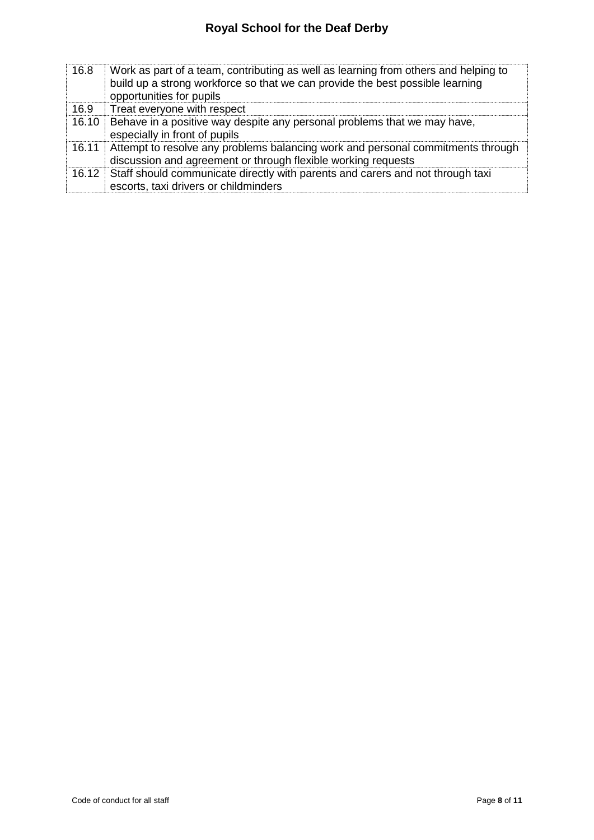| 16.8  | Work as part of a team, contributing as well as learning from others and helping to<br>build up a strong workforce so that we can provide the best possible learning<br>opportunities for pupils |
|-------|--------------------------------------------------------------------------------------------------------------------------------------------------------------------------------------------------|
| 16.9  | Treat everyone with respect                                                                                                                                                                      |
| 16.10 | Behave in a positive way despite any personal problems that we may have,<br>especially in front of pupils                                                                                        |
|       | 16.11 Attempt to resolve any problems balancing work and personal commitments through<br>discussion and agreement or through flexible working requests                                           |
|       | 16.12 Staff should communicate directly with parents and carers and not through taxi<br>escorts, taxi drivers or childminders                                                                    |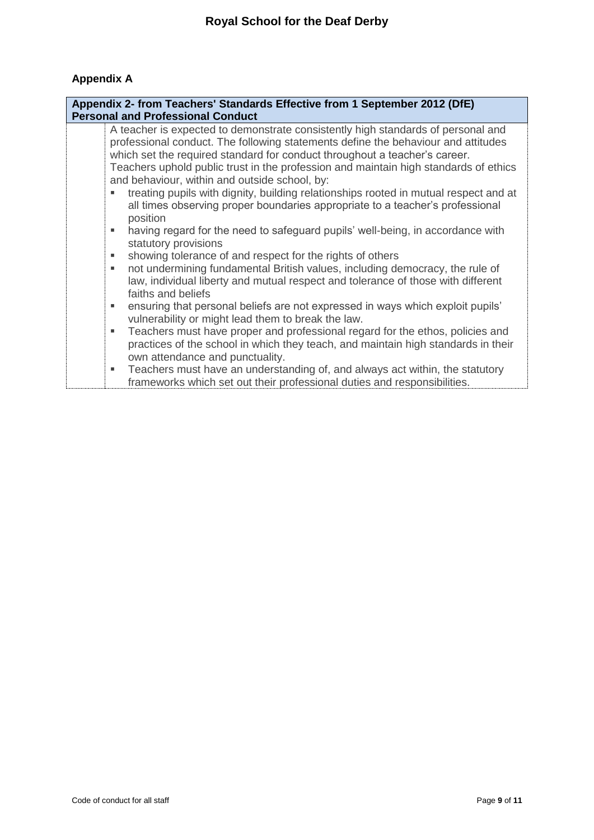## **Appendix A**

| Appendix 2- from Teachers' Standards Effective from 1 September 2012 (DfE)<br><b>Personal and Professional Conduct</b> |                                                                                                                                                                                                                                                                                                                                                                                                                                                                                                                                                                       |  |
|------------------------------------------------------------------------------------------------------------------------|-----------------------------------------------------------------------------------------------------------------------------------------------------------------------------------------------------------------------------------------------------------------------------------------------------------------------------------------------------------------------------------------------------------------------------------------------------------------------------------------------------------------------------------------------------------------------|--|
|                                                                                                                        | A teacher is expected to demonstrate consistently high standards of personal and<br>professional conduct. The following statements define the behaviour and attitudes<br>which set the required standard for conduct throughout a teacher's career.<br>Teachers uphold public trust in the profession and maintain high standards of ethics<br>and behaviour, within and outside school, by:<br>treating pupils with dignity, building relationships rooted in mutual respect and at<br>all times observing proper boundaries appropriate to a teacher's professional |  |
|                                                                                                                        | position<br>having regard for the need to safeguard pupils' well-being, in accordance with<br>m.<br>statutory provisions                                                                                                                                                                                                                                                                                                                                                                                                                                              |  |
| ٠<br>ш                                                                                                                 | showing tolerance of and respect for the rights of others<br>not undermining fundamental British values, including democracy, the rule of<br>law, individual liberty and mutual respect and tolerance of those with different<br>faiths and beliefs                                                                                                                                                                                                                                                                                                                   |  |
| ш                                                                                                                      | ensuring that personal beliefs are not expressed in ways which exploit pupils'<br>vulnerability or might lead them to break the law.                                                                                                                                                                                                                                                                                                                                                                                                                                  |  |
| ٠                                                                                                                      | Teachers must have proper and professional regard for the ethos, policies and<br>practices of the school in which they teach, and maintain high standards in their<br>own attendance and punctuality.                                                                                                                                                                                                                                                                                                                                                                 |  |
| ٠                                                                                                                      | Teachers must have an understanding of, and always act within, the statutory<br>frameworks which set out their professional duties and responsibilities.                                                                                                                                                                                                                                                                                                                                                                                                              |  |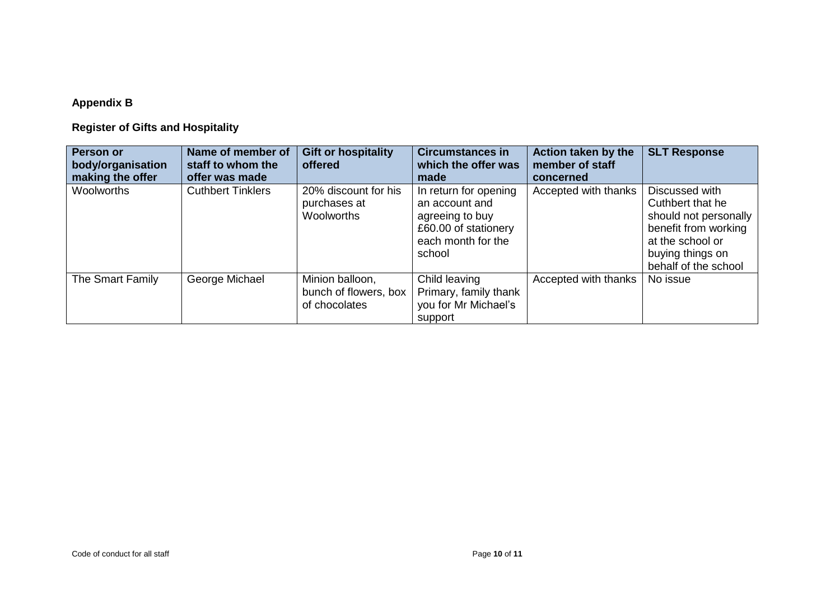## **Appendix B**

## **Register of Gifts and Hospitality**

| Person or<br>body/organisation<br>making the offer | Name of member of<br>staff to whom the<br>offer was made | <b>Gift or hospitality</b><br>offered                     | <b>Circumstances in</b><br>which the offer was<br>made                                                             | Action taken by the<br>member of staff<br>concerned | <b>SLT Response</b>                                                                                                                                 |
|----------------------------------------------------|----------------------------------------------------------|-----------------------------------------------------------|--------------------------------------------------------------------------------------------------------------------|-----------------------------------------------------|-----------------------------------------------------------------------------------------------------------------------------------------------------|
| Woolworths                                         | <b>Cuthbert Tinklers</b>                                 | 20% discount for his<br>purchases at<br>Woolworths        | In return for opening<br>an account and<br>agreeing to buy<br>£60.00 of stationery<br>each month for the<br>school | Accepted with thanks                                | Discussed with<br>Cuthbert that he<br>should not personally<br>benefit from working<br>at the school or<br>buying things on<br>behalf of the school |
| The Smart Family                                   | George Michael                                           | Minion balloon,<br>bunch of flowers, box<br>of chocolates | Child leaving<br>Primary, family thank<br>you for Mr Michael's<br>support                                          | Accepted with thanks                                | No issue                                                                                                                                            |